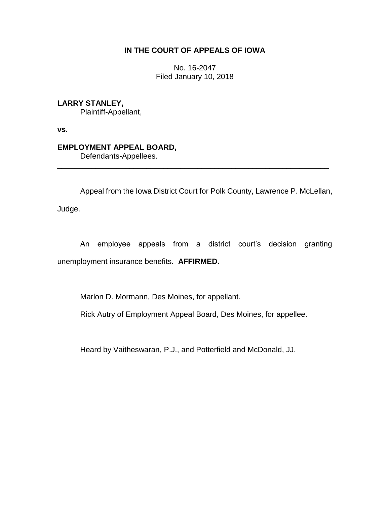## **IN THE COURT OF APPEALS OF IOWA**

No. 16-2047 Filed January 10, 2018

**LARRY STANLEY,** Plaintiff-Appellant,

**vs.**

## **EMPLOYMENT APPEAL BOARD,**

Defendants-Appellees.

Appeal from the Iowa District Court for Polk County, Lawrence P. McLellan,

\_\_\_\_\_\_\_\_\_\_\_\_\_\_\_\_\_\_\_\_\_\_\_\_\_\_\_\_\_\_\_\_\_\_\_\_\_\_\_\_\_\_\_\_\_\_\_\_\_\_\_\_\_\_\_\_\_\_\_\_\_\_\_\_

Judge.

An employee appeals from a district court's decision granting unemployment insurance benefits. **AFFIRMED.**

Marlon D. Mormann, Des Moines, for appellant.

Rick Autry of Employment Appeal Board, Des Moines, for appellee.

Heard by Vaitheswaran, P.J., and Potterfield and McDonald, JJ.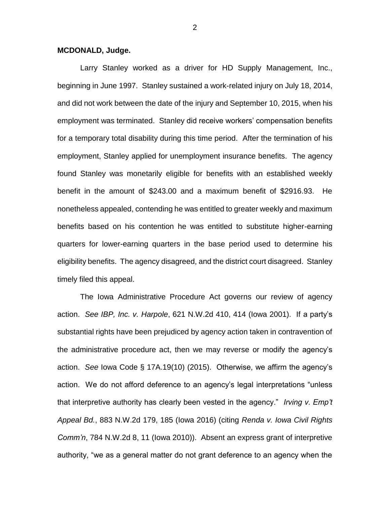## **MCDONALD, Judge.**

Larry Stanley worked as a driver for HD Supply Management, Inc., beginning in June 1997. Stanley sustained a work-related injury on July 18, 2014, and did not work between the date of the injury and September 10, 2015, when his employment was terminated. Stanley did receive workers' compensation benefits for a temporary total disability during this time period. After the termination of his employment, Stanley applied for unemployment insurance benefits. The agency found Stanley was monetarily eligible for benefits with an established weekly benefit in the amount of \$243.00 and a maximum benefit of \$2916.93. He nonetheless appealed, contending he was entitled to greater weekly and maximum benefits based on his contention he was entitled to substitute higher-earning quarters for lower-earning quarters in the base period used to determine his eligibility benefits. The agency disagreed, and the district court disagreed. Stanley timely filed this appeal.

The Iowa Administrative Procedure Act governs our review of agency action. *See IBP, Inc. v. Harpole*, 621 N.W.2d 410, 414 (Iowa 2001). If a party's substantial rights have been prejudiced by agency action taken in contravention of the administrative procedure act, then we may reverse or modify the agency's action. *See* Iowa Code § 17A.19(10) (2015). Otherwise, we affirm the agency's action. We do not afford deference to an agency's legal interpretations "unless that interpretive authority has clearly been vested in the agency." *Irving v. Emp't Appeal Bd.*, 883 N.W.2d 179, 185 (Iowa 2016) (citing *Renda v. Iowa Civil Rights Comm'n*, 784 N.W.2d 8, 11 (Iowa 2010)). Absent an express grant of interpretive authority, "we as a general matter do not grant deference to an agency when the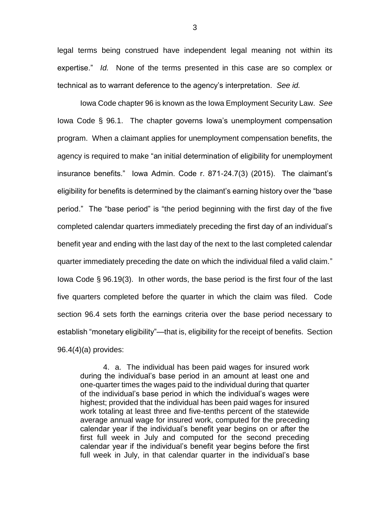legal terms being construed have independent legal meaning not within its expertise." *Id.* None of the terms presented in this case are so complex or technical as to warrant deference to the agency's interpretation. *See id.*

Iowa Code chapter 96 is known as the Iowa Employment Security Law. *See* Iowa Code § 96.1. The chapter governs Iowa's unemployment compensation program. When a claimant applies for unemployment compensation benefits, the agency is required to make "an initial determination of eligibility for unemployment insurance benefits." Iowa Admin. Code r. 871-24.7(3) (2015). The claimant's eligibility for benefits is determined by the claimant's earning history over the "base period." The "base period" is "the period beginning with the first day of the five completed calendar quarters immediately preceding the first day of an individual's benefit year and ending with the last day of the next to the last completed calendar quarter immediately preceding the date on which the individual filed a valid claim." Iowa Code § 96.19(3). In other words, the base period is the first four of the last five quarters completed before the quarter in which the claim was filed. Code section 96.4 sets forth the earnings criteria over the base period necessary to establish "monetary eligibility"—that is, eligibility for the receipt of benefits. Section 96.4(4)(a) provides:

4. a. The individual has been paid wages for insured work during the individual's base period in an amount at least one and one-quarter times the wages paid to the individual during that quarter of the individual's base period in which the individual's wages were highest; provided that the individual has been paid wages for insured work totaling at least three and five-tenths percent of the statewide average annual wage for insured work, computed for the preceding calendar year if the individual's benefit year begins on or after the first full week in July and computed for the second preceding calendar year if the individual's benefit year begins before the first full week in July, in that calendar quarter in the individual's base

3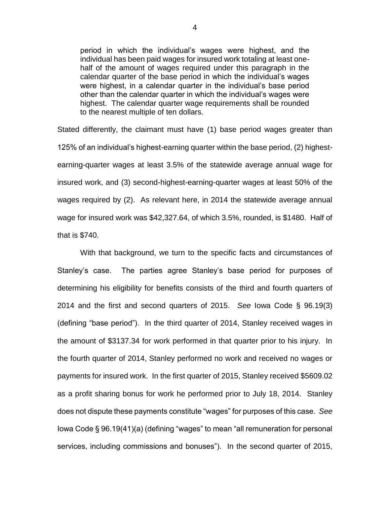period in which the individual's wages were highest, and the individual has been paid wages for insured work totaling at least onehalf of the amount of wages required under this paragraph in the calendar quarter of the base period in which the individual's wages were highest, in a calendar quarter in the individual's base period other than the calendar quarter in which the individual's wages were highest. The calendar quarter wage requirements shall be rounded to the nearest multiple of ten dollars.

Stated differently, the claimant must have (1) base period wages greater than 125% of an individual's highest-earning quarter within the base period, (2) highestearning-quarter wages at least 3.5% of the statewide average annual wage for insured work, and (3) second-highest-earning-quarter wages at least 50% of the wages required by (2). As relevant here, in 2014 the statewide average annual wage for insured work was \$42,327.64, of which 3.5%, rounded, is \$1480. Half of that is \$740.

With that background, we turn to the specific facts and circumstances of Stanley's case. The parties agree Stanley's base period for purposes of determining his eligibility for benefits consists of the third and fourth quarters of 2014 and the first and second quarters of 2015. *See* Iowa Code § 96.19(3) (defining "base period"). In the third quarter of 2014, Stanley received wages in the amount of \$3137.34 for work performed in that quarter prior to his injury. In the fourth quarter of 2014, Stanley performed no work and received no wages or payments for insured work. In the first quarter of 2015, Stanley received \$5609.02 as a profit sharing bonus for work he performed prior to July 18, 2014. Stanley does not dispute these payments constitute "wages" for purposes of this case. *See* Iowa Code § 96.19(41)(a) (defining "wages" to mean "all remuneration for personal services, including commissions and bonuses"). In the second quarter of 2015,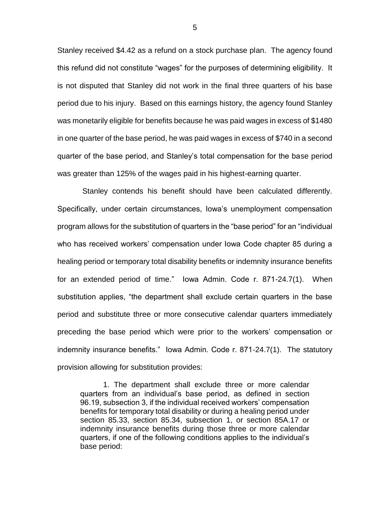Stanley received \$4.42 as a refund on a stock purchase plan. The agency found this refund did not constitute "wages" for the purposes of determining eligibility. It is not disputed that Stanley did not work in the final three quarters of his base period due to his injury. Based on this earnings history, the agency found Stanley was monetarily eligible for benefits because he was paid wages in excess of \$1480 in one quarter of the base period, he was paid wages in excess of \$740 in a second quarter of the base period, and Stanley's total compensation for the base period was greater than 125% of the wages paid in his highest-earning quarter.

Stanley contends his benefit should have been calculated differently. Specifically, under certain circumstances, Iowa's unemployment compensation program allows for the substitution of quarters in the "base period" for an "individual who has received workers' compensation under Iowa Code chapter 85 during a healing period or temporary total disability benefits or indemnity insurance benefits for an extended period of time." Iowa Admin. Code r. 871-24.7(1). When substitution applies, "the department shall exclude certain quarters in the base period and substitute three or more consecutive calendar quarters immediately preceding the base period which were prior to the workers' compensation or indemnity insurance benefits." Iowa Admin. Code r. 871-24.7(1). The statutory provision allowing for substitution provides:

1. The department shall exclude three or more calendar quarters from an individual's base period, as defined in section 96.19, subsection 3, if the individual received workers' compensation benefits for temporary total disability or during a healing period under section 85.33, section 85.34, subsection 1, or section 85A.17 or indemnity insurance benefits during those three or more calendar quarters, if one of the following conditions applies to the individual's base period:

5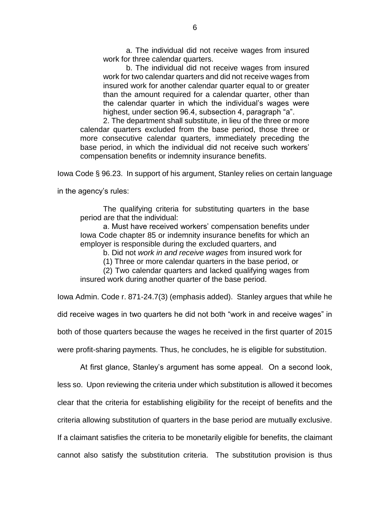a. The individual did not receive wages from insured work for three calendar quarters.

b. The individual did not receive wages from insured work for two calendar quarters and did not receive wages from insured work for another calendar quarter equal to or greater than the amount required for a calendar quarter, other than the calendar quarter in which the individual's wages were highest, under section 96.4, subsection 4, paragraph "a".

2. The department shall substitute, in lieu of the three or more calendar quarters excluded from the base period, those three or more consecutive calendar quarters, immediately preceding the base period, in which the individual did not receive such workers' compensation benefits or indemnity insurance benefits.

Iowa Code § 96.23. In support of his argument, Stanley relies on certain language

in the agency's rules:

The qualifying criteria for substituting quarters in the base period are that the individual:

a. Must have received workers' compensation benefits under Iowa Code chapter 85 or indemnity insurance benefits for which an employer is responsible during the excluded quarters, and

b. Did not *work in and receive wages* from insured work for

(1) Three or more calendar quarters in the base period, or

(2) Two calendar quarters and lacked qualifying wages from insured work during another quarter of the base period.

Iowa Admin. Code r. 871-24.7(3) (emphasis added). Stanley argues that while he did receive wages in two quarters he did not both "work in and receive wages" in both of those quarters because the wages he received in the first quarter of 2015 were profit-sharing payments. Thus, he concludes, he is eligible for substitution.

At first glance, Stanley's argument has some appeal. On a second look, less so. Upon reviewing the criteria under which substitution is allowed it becomes clear that the criteria for establishing eligibility for the receipt of benefits and the criteria allowing substitution of quarters in the base period are mutually exclusive. If a claimant satisfies the criteria to be monetarily eligible for benefits, the claimant cannot also satisfy the substitution criteria. The substitution provision is thus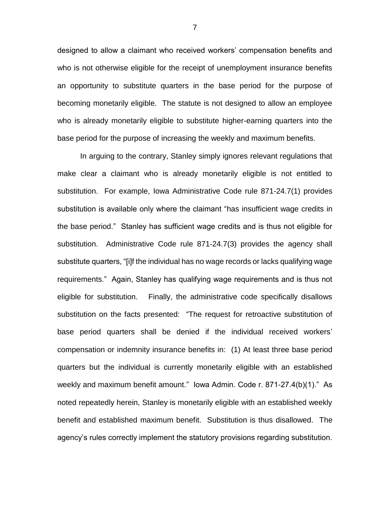designed to allow a claimant who received workers' compensation benefits and who is not otherwise eligible for the receipt of unemployment insurance benefits an opportunity to substitute quarters in the base period for the purpose of becoming monetarily eligible. The statute is not designed to allow an employee who is already monetarily eligible to substitute higher-earning quarters into the base period for the purpose of increasing the weekly and maximum benefits.

In arguing to the contrary, Stanley simply ignores relevant regulations that make clear a claimant who is already monetarily eligible is not entitled to substitution. For example, Iowa Administrative Code rule 871-24.7(1) provides substitution is available only where the claimant "has insufficient wage credits in the base period." Stanley has sufficient wage credits and is thus not eligible for substitution. Administrative Code rule 871-24.7(3) provides the agency shall substitute quarters, "[i]f the individual has no wage records or lacks qualifying wage requirements." Again, Stanley has qualifying wage requirements and is thus not eligible for substitution. Finally, the administrative code specifically disallows substitution on the facts presented: "The request for retroactive substitution of base period quarters shall be denied if the individual received workers' compensation or indemnity insurance benefits in: (1) At least three base period quarters but the individual is currently monetarily eligible with an established weekly and maximum benefit amount." Iowa Admin. Code r. 871-27.4(b)(1)." As noted repeatedly herein, Stanley is monetarily eligible with an established weekly benefit and established maximum benefit. Substitution is thus disallowed. The agency's rules correctly implement the statutory provisions regarding substitution.

7